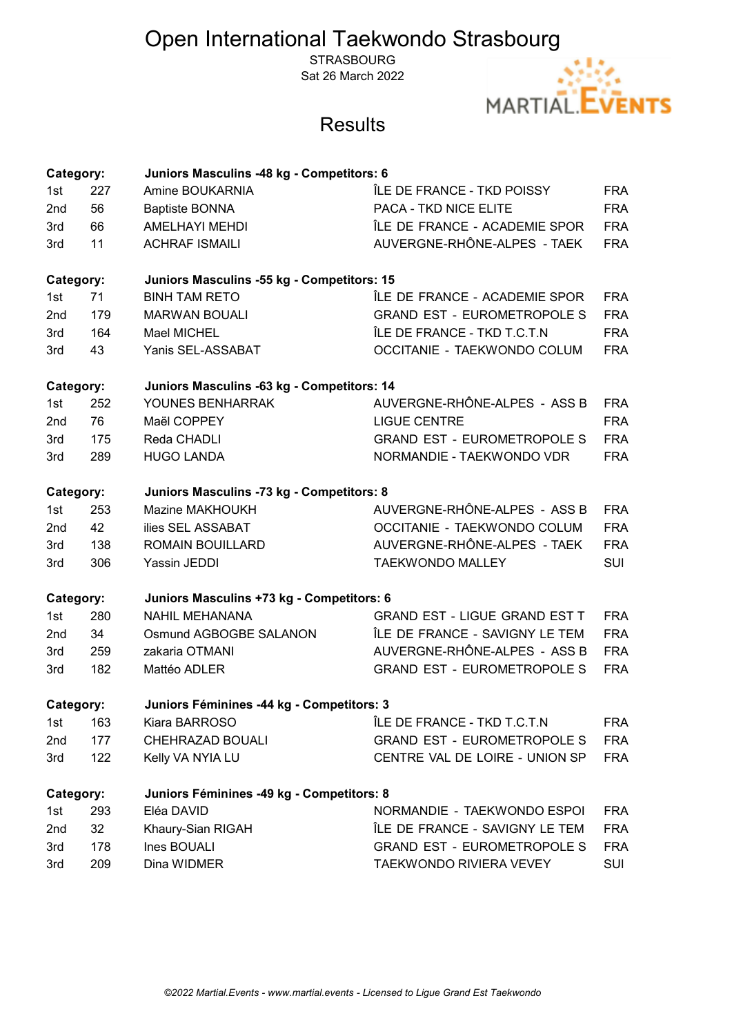# Open International Taekwondo Strasbourg

**STRASBOURG** Sat 26 March 2022



## **Results**

| Category: |                                                         | Juniors Masculins -48 kg - Competitors: 6 |                                      |            |  |  |
|-----------|---------------------------------------------------------|-------------------------------------------|--------------------------------------|------------|--|--|
| 1st       | 227                                                     | Amine BOUKARNIA                           | ÎLE DE FRANCE - TKD POISSY           | <b>FRA</b> |  |  |
| 2nd       | 56                                                      | <b>Baptiste BONNA</b>                     | PACA - TKD NICE ELITE                | <b>FRA</b> |  |  |
| 3rd       | 66                                                      | <b>AMELHAYI MEHDI</b>                     | ÎLE DE FRANCE - ACADEMIE SPOR        | <b>FRA</b> |  |  |
| 3rd       | 11                                                      | <b>ACHRAF ISMAILI</b>                     | AUVERGNE-RHÔNE-ALPES - TAEK          | <b>FRA</b> |  |  |
|           | Juniors Masculins -55 kg - Competitors: 15<br>Category: |                                           |                                      |            |  |  |
| 1st       | 71                                                      | <b>BINH TAM RETO</b>                      | ÎLE DE FRANCE - ACADEMIE SPOR        | <b>FRA</b> |  |  |
| 2nd       | 179                                                     | <b>MARWAN BOUALI</b>                      | <b>GRAND EST - EUROMETROPOLE S</b>   | <b>FRA</b> |  |  |
| 3rd       | 164                                                     | Mael MICHEL                               | ÎLE DE FRANCE - TKD T.C.T.N          | <b>FRA</b> |  |  |
| 3rd       | 43                                                      | Yanis SEL-ASSABAT                         | OCCITANIE - TAEKWONDO COLUM          | <b>FRA</b> |  |  |
|           | Category:<br>Juniors Masculins -63 kg - Competitors: 14 |                                           |                                      |            |  |  |
| 1st       | 252                                                     | YOUNES BENHARRAK                          | AUVERGNE-RHÔNE-ALPES - ASS B         | <b>FRA</b> |  |  |
| 2nd       | 76                                                      | Maël COPPEY                               | <b>LIGUE CENTRE</b>                  | <b>FRA</b> |  |  |
| 3rd       | 175                                                     | Reda CHADLI                               | <b>GRAND EST - EUROMETROPOLE S</b>   | <b>FRA</b> |  |  |
| 3rd       | 289                                                     | <b>HUGO LANDA</b>                         | NORMANDIE - TAEKWONDO VDR            | <b>FRA</b> |  |  |
|           | Juniors Masculins -73 kg - Competitors: 8<br>Category:  |                                           |                                      |            |  |  |
| 1st       | 253                                                     | Mazine MAKHOUKH                           | AUVERGNE-RHÔNE-ALPES - ASS B         | <b>FRA</b> |  |  |
| 2nd       | 42                                                      | ilies SEL ASSABAT                         | OCCITANIE - TAEKWONDO COLUM          | <b>FRA</b> |  |  |
| 3rd       | 138                                                     | ROMAIN BOUILLARD                          | AUVERGNE-RHÔNE-ALPES - TAEK          | <b>FRA</b> |  |  |
| 3rd       | 306                                                     | Yassin JEDDI                              | <b>TAEKWONDO MALLEY</b>              | <b>SUI</b> |  |  |
| Category: |                                                         | Juniors Masculins +73 kg - Competitors: 6 |                                      |            |  |  |
| 1st       | 280                                                     | <b>NAHIL MEHANANA</b>                     | <b>GRAND EST - LIGUE GRAND EST T</b> | <b>FRA</b> |  |  |
| 2nd       | 34                                                      | Osmund AGBOGBE SALANON                    | ÎLE DE FRANCE - SAVIGNY LE TEM       | <b>FRA</b> |  |  |
| 3rd       | 259                                                     | zakaria OTMANI                            | AUVERGNE-RHÔNE-ALPES - ASS B         | <b>FRA</b> |  |  |
| 3rd       | 182                                                     | Mattéo ADLER                              | <b>GRAND EST - EUROMETROPOLE S</b>   | <b>FRA</b> |  |  |
|           | Juniors Féminines -44 kg - Competitors: 3<br>Category:  |                                           |                                      |            |  |  |
| 1st       | 163                                                     | Kiara BARROSO                             | ÎLE DE FRANCE - TKD T.C.T.N          | <b>FRA</b> |  |  |
| 2nd       | 177                                                     | CHEHRAZAD BOUALI                          | <b>GRAND EST - EUROMETROPOLE S</b>   | <b>FRA</b> |  |  |
| 3rd       | 122                                                     | Kelly VA NYIA LU                          | CENTRE VAL DE LOIRE - UNION SP       | <b>FRA</b> |  |  |
|           | Category:<br>Juniors Féminines -49 kg - Competitors: 8  |                                           |                                      |            |  |  |
| 1st       | 293                                                     | Eléa DAVID                                | NORMANDIE - TAEKWONDO ESPOI          | <b>FRA</b> |  |  |
| 2nd       | 32                                                      | Khaury-Sian RIGAH                         | ÎLE DE FRANCE - SAVIGNY LE TEM       | <b>FRA</b> |  |  |
| 3rd       | 178                                                     | Ines BOUALI                               | <b>GRAND EST - EUROMETROPOLE S</b>   | <b>FRA</b> |  |  |
| 3rd       | 209                                                     | Dina WIDMER                               | TAEKWONDO RIVIERA VEVEY              | SUI        |  |  |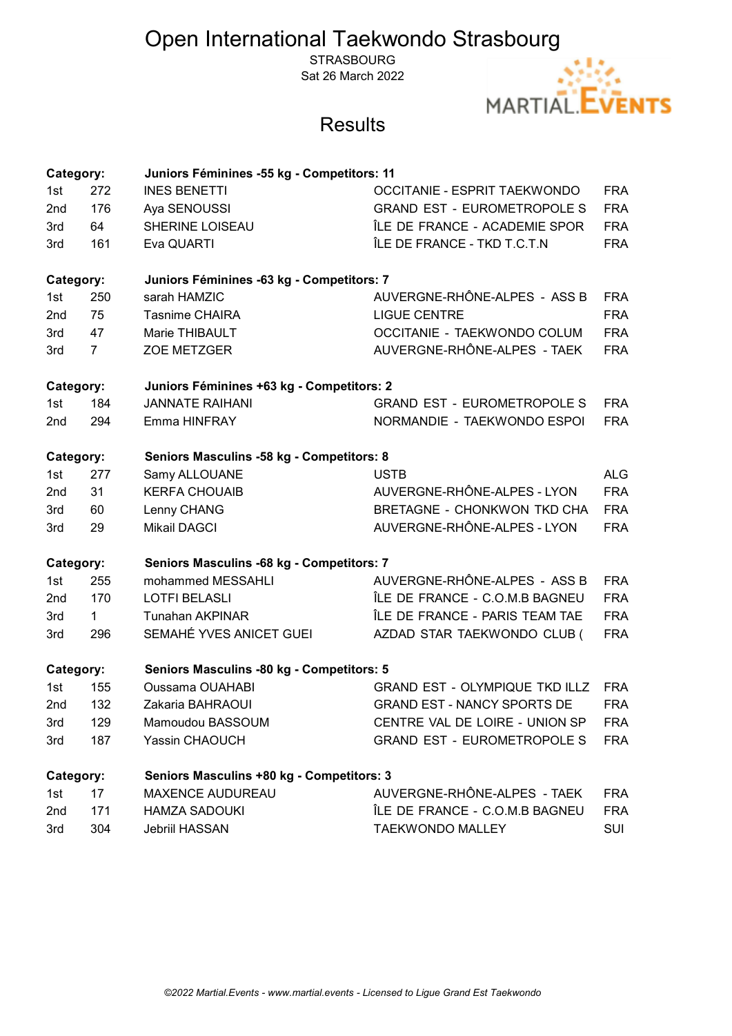# Open International Taekwondo Strasbourg

**STRASBOURG** Sat 26 March 2022



## **Results**

| Category: |                                                        | Juniors Féminines -55 kg - Competitors: 11 |                                       |            |  |  |  |
|-----------|--------------------------------------------------------|--------------------------------------------|---------------------------------------|------------|--|--|--|
| 1st       | 272                                                    | <b>INES BENETTI</b>                        | <b>OCCITANIE - ESPRIT TAEKWONDO</b>   | <b>FRA</b> |  |  |  |
| 2nd       | 176                                                    | Aya SENOUSSI                               | <b>GRAND EST - EUROMETROPOLE S</b>    | <b>FRA</b> |  |  |  |
| 3rd       | 64                                                     | SHERINE LOISEAU                            | ÎLE DE FRANCE - ACADEMIE SPOR         | <b>FRA</b> |  |  |  |
| 3rd       | 161                                                    | Eva QUARTI                                 | ÎLE DE FRANCE - TKD T.C.T.N           | <b>FRA</b> |  |  |  |
| Category: |                                                        | Juniors Féminines -63 kg - Competitors: 7  |                                       |            |  |  |  |
| 1st       | 250                                                    | sarah HAMZIC                               | AUVERGNE-RHÔNE-ALPES - ASS B          | <b>FRA</b> |  |  |  |
| 2nd       | 75                                                     | <b>Tasnime CHAIRA</b>                      | <b>LIGUE CENTRE</b>                   | <b>FRA</b> |  |  |  |
| 3rd       | 47                                                     | Marie THIBAULT                             | OCCITANIE - TAEKWONDO COLUM           | <b>FRA</b> |  |  |  |
| 3rd       | $\overline{7}$                                         | ZOE METZGER                                | AUVERGNE-RHÔNE-ALPES - TAEK           | <b>FRA</b> |  |  |  |
| Category: |                                                        | Juniors Féminines +63 kg - Competitors: 2  |                                       |            |  |  |  |
| 1st       | 184                                                    | <b>JANNATE RAIHANI</b>                     | <b>GRAND EST - EUROMETROPOLE S</b>    | <b>FRA</b> |  |  |  |
| 2nd       | 294                                                    | Emma HINFRAY                               | NORMANDIE - TAEKWONDO ESPOI           | <b>FRA</b> |  |  |  |
|           | Seniors Masculins -58 kg - Competitors: 8<br>Category: |                                            |                                       |            |  |  |  |
| 1st       | 277                                                    | Samy ALLOUANE                              | <b>USTB</b>                           | <b>ALG</b> |  |  |  |
| 2nd       | 31                                                     | <b>KERFA CHOUAIB</b>                       | AUVERGNE-RHÔNE-ALPES - LYON           | <b>FRA</b> |  |  |  |
| 3rd       | 60                                                     | Lenny CHANG                                | <b>BRETAGNE - CHONKWON TKD CHA</b>    | <b>FRA</b> |  |  |  |
| 3rd       | 29                                                     | <b>Mikail DAGCI</b>                        | AUVERGNE-RHÔNE-ALPES - LYON           | <b>FRA</b> |  |  |  |
| Category: |                                                        | Seniors Masculins -68 kg - Competitors: 7  |                                       |            |  |  |  |
| 1st       | 255                                                    | mohammed MESSAHLI                          | AUVERGNE-RHÔNE-ALPES - ASS B          | <b>FRA</b> |  |  |  |
| 2nd       | 170                                                    | <b>LOTFI BELASLI</b>                       | ÎLE DE FRANCE - C.O.M.B BAGNEU        | <b>FRA</b> |  |  |  |
| 3rd       | $\mathbf{1}$                                           | <b>Tunahan AKPINAR</b>                     | ÎLE DE FRANCE - PARIS TEAM TAE        | <b>FRA</b> |  |  |  |
| 3rd       | 296                                                    | SEMAHÉ YVES ANICET GUEI                    | AZDAD STAR TAEKWONDO CLUB (           | <b>FRA</b> |  |  |  |
| Category: |                                                        | Seniors Masculins -80 kg - Competitors: 5  |                                       |            |  |  |  |
| 1st       | 155                                                    | <b>Oussama OUAHABI</b>                     | <b>GRAND EST - OLYMPIQUE TKD ILLZ</b> | <b>FRA</b> |  |  |  |
| 2nd       | 132                                                    | Zakaria BAHRAOUI                           | <b>GRAND EST - NANCY SPORTS DE</b>    | <b>FRA</b> |  |  |  |
| 3rd       | 129                                                    | Mamoudou BASSOUM                           | CENTRE VAL DE LOIRE - UNION SP        | <b>FRA</b> |  |  |  |
| 3rd       | 187                                                    | Yassin CHAOUCH                             | <b>GRAND EST - EUROMETROPOLE S</b>    | <b>FRA</b> |  |  |  |
| Category: |                                                        | Seniors Masculins +80 kg - Competitors: 3  |                                       |            |  |  |  |
| 1st       | 17                                                     | <b>MAXENCE AUDUREAU</b>                    | AUVERGNE-RHÔNE-ALPES - TAEK           | <b>FRA</b> |  |  |  |
| 2nd       | 171                                                    | <b>HAMZA SADOUKI</b>                       | ÎLE DE FRANCE - C.O.M.B BAGNEU        | <b>FRA</b> |  |  |  |
| 3rd       | 304                                                    | Jebriil HASSAN                             | <b>TAEKWONDO MALLEY</b>               | SUI        |  |  |  |
|           |                                                        |                                            |                                       |            |  |  |  |